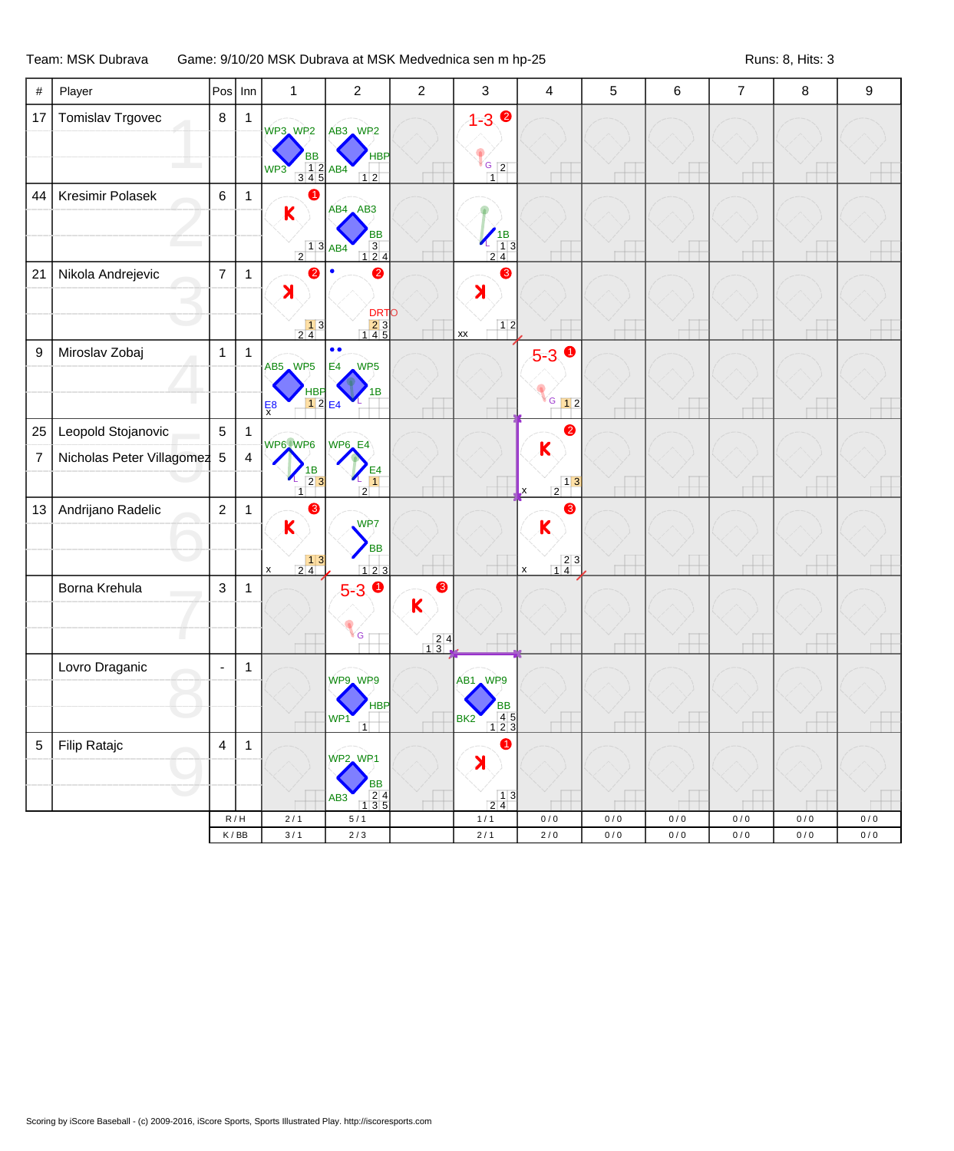## Team: MSK Dubrava Game: 9/10/20 MSK Dubrava at MSK Medvednica sen m hp-25 Runs: 8, Hits: 3

| $\#$             | Player                      | Pos                     | Inn                         | $\mathbf{1}$                                                                                          | $\overline{2}$                                                                            | $\overline{c}$                                    | 3                                                                      | $\overline{4}$                                                                                            | $\mathbf 5$ | $\,6$ | $\overline{7}$ | 8         | $\boldsymbol{9}$ |
|------------------|-----------------------------|-------------------------|-----------------------------|-------------------------------------------------------------------------------------------------------|-------------------------------------------------------------------------------------------|---------------------------------------------------|------------------------------------------------------------------------|-----------------------------------------------------------------------------------------------------------|-------------|-------|----------------|-----------|------------------|
| 17               | Tomislav Trgovec            | $\bf 8$                 | $\mathbf{1}$                | WP3 WP2<br><b>BB</b><br>$\frac{1}{3}$ $\frac{2}{4}$ $\frac{AB4}{5}$<br>WP3                            | AB3 WP2<br><b>HBP</b><br>12                                                               |                                                   | $1 - 3$ $\bullet$<br>$\frac{16}{12}$<br>$\overline{1}$                 |                                                                                                           |             |       |                |           |                  |
| 44               | Kresimir Polasek            | $\,6\,$                 | $\mathbf{1}$                | $\mathsf K$<br>$\begin{array}{c c}\n1 & 3 & AB4 \\ \hline\n\end{array}$                               | $AB4$ $AB3$<br><b>BB</b><br>$\begin{array}{c} 3 \\ 1 \ 2 \ 4 \end{array}$                 |                                                   | $\begin{array}{c c}\n 18 \\  - 13 \\  \hline\n 24\n \end{array}$       |                                                                                                           |             |       |                |           |                  |
| 21               | Nikola Andrejevic           | $\boldsymbol{7}$        | $\mathbf{1}$                | ℯ<br>$\lambda$<br>$\begin{array}{ c c }\n\hline\n1 & 3 \\ 2 & 4\n\end{array}$                         | Ø<br><b>DRTO</b><br>$\begin{array}{r} 23 \\ 145 \end{array}$                              |                                                   | 3<br>$\lambda$<br>$12$<br>xx                                           |                                                                                                           |             |       |                |           |                  |
| $\boldsymbol{9}$ | Miroslav Zobaj              | $\mathbf{1}$            | $\mathbf{1}$                | AB5 WP5<br><b>HBP</b><br>$12$ E4<br>$\frac{E}{x}$                                                     | $\bullet\bullet$<br>WP <sub>5</sub><br>E <sub>4</sub><br>1B                               |                                                   |                                                                        | $5-3$<br>$G$ 12                                                                                           |             |       |                |           |                  |
| 25               | Leopold Stojanovic          | $\overline{5}$          | $\mathbf{1}$                | WP6 WP6                                                                                               | WP6_E4                                                                                    |                                                   |                                                                        | 2                                                                                                         |             |       |                |           |                  |
| $\overline{7}$   | Nicholas Peter Villagomez 5 |                         | $\overline{\mathbf{4}}$     | $\begin{array}{c} 1B \\ 2 \ 3 \end{array}$                                                            | E4<br>$\overline{2}$                                                                      |                                                   |                                                                        | $\mathsf K$<br>$\frac{1}{2}$<br>$\mathbf x$                                                               |             |       |                |           |                  |
| 13               | Andrijano Radelic           | $\overline{2}$          | $\mathbf{1}$                | €<br>$\mathsf K$<br>$\begin{array}{ c c }\n\hline\n1 & 3 \\ 2 & 4\n\end{array}$<br>$\pmb{\mathsf{x}}$ | WP <sub>7</sub><br><b>BB</b><br>$123$                                                     |                                                   |                                                                        | ❸<br>$\mathbf K$<br>$\begin{array}{ c c }\n 2 & 3 \\  \hline\n 1 & 4\n \end{array}$<br>$\pmb{\mathsf{x}}$ |             |       |                |           |                  |
|                  | Borna Krehula               | $\mathbf{3}$            | $\mathbf{1}$                |                                                                                                       | $5-3$ $\bullet$<br>G                                                                      | ❸<br>K<br>$\begin{array}{r} 24 \\ 13 \end{array}$ |                                                                        |                                                                                                           |             |       |                |           |                  |
|                  | Lovro Draganic              | $\blacksquare$          | $\mathbf{1}$                |                                                                                                       | WP9 WP9<br>HBP<br>WP <sub>1</sub>                                                         |                                                   | AB1 WP9<br><b>BB</b><br>4 5<br>BK <sub>2</sub><br>$\overline{1}$<br>23 |                                                                                                           |             |       |                |           |                  |
| $\sqrt{5}$       | Filip Ratajc                | $\overline{\mathbf{4}}$ | $\mathbf{1}$                |                                                                                                       | WP2, WP1<br><b>BB</b><br>$\frac{2}{3}$ $\frac{4}{5}$<br>AB <sub>3</sub><br>$\overline{1}$ |                                                   | $\bullet$<br>X<br>$\frac{1}{2}$ $\frac{3}{4}$                          |                                                                                                           |             |       |                |           |                  |
|                  |                             |                         | R/H                         | 2/1                                                                                                   | 5/1                                                                                       |                                                   | 1/1                                                                    | 0/0                                                                                                       | 0/0         | 0/0   | 0/0            | 0/0       | 0/0              |
|                  |                             |                         | $\mathsf K\,/\,\mathsf{BB}$ | $3/1$                                                                                                 | $2\,/\,3$                                                                                 |                                                   | $2/1$                                                                  | $2\,/\,0$                                                                                                 | $0\,/\,0$   | $0/0$ | $0/0$          | $0\,/\,0$ | $0\,/\,0$        |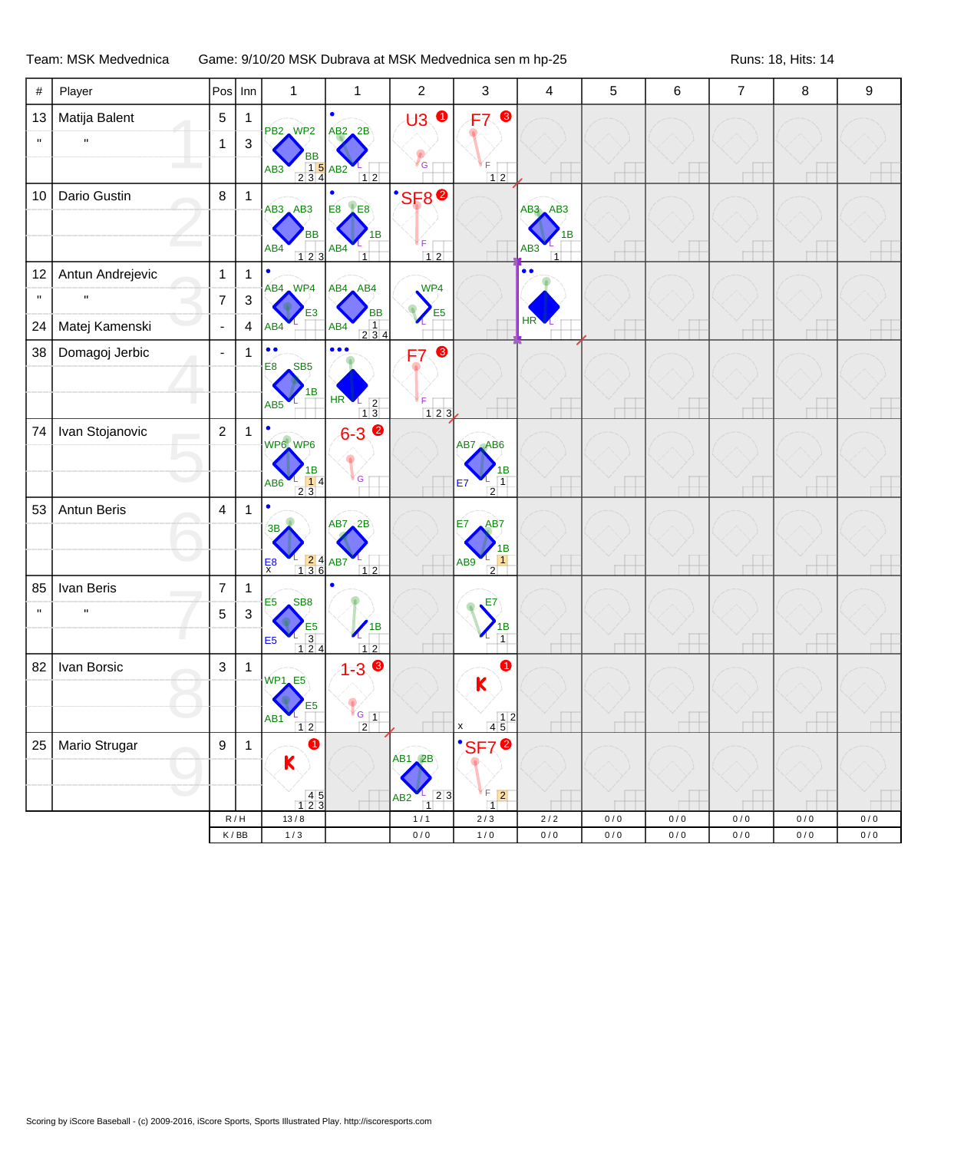## Team: MSK Medvednica Game: 9/10/20 MSK Dubrava at MSK Medvednica sen m hp-25 Runs: 18, Hits: 14

| $\#$               | Player           | Pos                      | Inn                         | $\mathbf{1}$                                                   | 1                                                                                                 | $\overline{2}$                                   | $\mathbf{3}$                                                    | $\overline{4}$        | 5     | 6         | $\boldsymbol{7}$ | 8         | 9         |
|--------------------|------------------|--------------------------|-----------------------------|----------------------------------------------------------------|---------------------------------------------------------------------------------------------------|--------------------------------------------------|-----------------------------------------------------------------|-----------------------|-------|-----------|------------------|-----------|-----------|
| 13                 | Matija Balent    | $\,$ 5 $\,$              | 1                           | PB2 WP2                                                        | $AB2$ <sub>2</sub> B                                                                              | <b>U3</b> ●                                      | ❸<br>F7                                                         |                       |       |           |                  |           |           |
| $\mathbf H$        | $\mathbf{u}$     | $\mathbf{1}$             | $\ensuremath{\mathsf{3}}$   | <b>BB</b>                                                      |                                                                                                   |                                                  |                                                                 |                       |       |           |                  |           |           |
|                    |                  |                          |                             | $\frac{1}{2}$ $\frac{5}{4}$ AB2<br>AB <sub>3</sub>             | $12$                                                                                              | G                                                | F.<br>$12$                                                      |                       |       |           |                  |           |           |
| 10                 | Dario Gustin     | 8                        | $\mathbf{1}$                | $AB3$ $AB3$                                                    | <b>E8 LE8</b>                                                                                     | <b>SF8<sup>0</sup></b>                           |                                                                 | $AB3$ $AB3$           |       |           |                  |           |           |
|                    |                  |                          |                             | <b>BB</b>                                                      | IB                                                                                                |                                                  |                                                                 | 1B                    |       |           |                  |           |           |
|                    |                  |                          |                             | AB4<br>$123$                                                   | AB4<br>$\overline{1}$                                                                             | F<br>$12$                                        |                                                                 | AB3<br>$\overline{1}$ |       |           |                  |           |           |
| 12                 | Antun Andrejevic | $\mathbf{1}$             | 1                           | $\bullet$                                                      |                                                                                                   |                                                  |                                                                 | $\bullet$             |       |           |                  |           |           |
| $\mathbf{H}$       |                  | $\overline{7}$           | $\ensuremath{\mathsf{3}}$   | AB4 WP4                                                        | AB4 AB4                                                                                           | WP <sub>4</sub>                                  |                                                                 |                       |       |           |                  |           |           |
| 24                 | Matej Kamenski   | ÷,                       | $\overline{4}$              | AB4                                                            | <b>BB</b><br>$\begin{array}{ c c c }\n\hline\n1 & 3 & 4 \\ \hline\n2 & 3 & 4\n\end{array}$<br>AB4 | E <sub>5</sub>                                   |                                                                 | HR <sup>'</sup>       |       |           |                  |           |           |
| 38                 | Domagoj Jerbic   | $\overline{\phantom{a}}$ | $\mathbf{1}$                | $\bullet$<br>SB <sub>5</sub><br>E <sub>8</sub>                 | $\bullet\bullet\bullet$                                                                           | ❸<br>F7                                          |                                                                 |                       |       |           |                  |           |           |
|                    |                  |                          |                             | 1B                                                             |                                                                                                   |                                                  |                                                                 |                       |       |           |                  |           |           |
|                    |                  |                          |                             | AB <sub>5</sub>                                                | $HR$ $13$                                                                                         | F<br>$123$                                       |                                                                 |                       |       |           |                  |           |           |
| 74                 | Ivan Stojanovic  | $\overline{c}$           | $\mathbf{1}$                | WP6 WP6                                                        | $6 - 3$                                                                                           |                                                  | AB7 AB6                                                         |                       |       |           |                  |           |           |
|                    |                  |                          |                             |                                                                |                                                                                                   |                                                  |                                                                 |                       |       |           |                  |           |           |
|                    |                  |                          |                             | 1В<br>$\frac{1}{2}$<br>2 3<br>AB6                              | G                                                                                                 |                                                  | 1В<br>$\overline{1}$<br>E7<br>$\overline{2}$                    |                       |       |           |                  |           |           |
| 53                 | Antun Beris      | $\overline{\mathbf{4}}$  | $\mathbf{1}$                |                                                                | AB7, 2B                                                                                           |                                                  | AB7<br>E7                                                       |                       |       |           |                  |           |           |
|                    |                  |                          |                             | 3B                                                             |                                                                                                   |                                                  | 1B                                                              |                       |       |           |                  |           |           |
|                    |                  |                          |                             | $\frac{1}{1}$ $\frac{2}{3}$ $\frac{4}{6}$ AB7<br>$\frac{E}{x}$ | $12$                                                                                              |                                                  | $\overline{1}$<br>AB9<br>$\overline{2}$                         |                       |       |           |                  |           |           |
| 85                 | Ivan Beris       | $\overline{7}$           | $\mathbf{1}$                | SB <sub>8</sub>                                                |                                                                                                   |                                                  |                                                                 |                       |       |           |                  |           |           |
| $\pmb{\mathsf{H}}$ | $\mathbf{u}$     | $\sqrt{5}$               | $\sqrt{3}$                  | E <sub>5</sub>                                                 | 1B                                                                                                |                                                  | E7                                                              |                       |       |           |                  |           |           |
|                    |                  |                          |                             | E <sub>5</sub><br>$\frac{1}{124}$<br>E <sub>5</sub>            | $12$                                                                                              |                                                  | 1B<br>$\overline{1}$<br>L.                                      |                       |       |           |                  |           |           |
| 82                 | Ivan Borsic      | $\mathbf{3}$             | $\mathbf{1}$                | WP1_E5                                                         | $1 - 30$                                                                                          |                                                  |                                                                 |                       |       |           |                  |           |           |
|                    |                  |                          |                             |                                                                |                                                                                                   |                                                  | $\mathsf K$                                                     |                       |       |           |                  |           |           |
|                    |                  |                          |                             | AB1<br>$\overline{2}$<br>$\overline{1}$                        | $G_{1}$<br>$\overline{2}$                                                                         |                                                  | $\begin{array}{c c} & 1 & 2 \\ \hline 4 & 5 & \end{array}$<br>X |                       |       |           |                  |           |           |
| 25                 | Mario Strugar    | $\boldsymbol{9}$         | $\mathbf{1}$                | $\bullet$                                                      |                                                                                                   |                                                  | <b>SF7<sup>0</sup></b>                                          |                       |       |           |                  |           |           |
|                    |                  |                          |                             | K                                                              |                                                                                                   | <b>AB1 2B</b>                                    |                                                                 |                       |       |           |                  |           |           |
|                    |                  |                          |                             | $\begin{array}{c} 45 \\ 123 \end{array}$                       |                                                                                                   | $\vert 2 \vert 3 \vert$<br>AB2<br>$\overline{1}$ | F.<br>$\boxed{2}$<br>$\overline{1}$                             |                       |       |           |                  |           |           |
|                    |                  |                          | R/H                         | $13/8$                                                         |                                                                                                   | $1/1$                                            | $2/3$                                                           | $2/2$                 | $0/0$ | $0/0$     | 0/0              | 0/0       | 0/0       |
|                    |                  |                          | $\mathsf K\,/\,\mathsf{BB}$ | $1/3$                                                          |                                                                                                   | $0\,/\,0$                                        | $1/0$                                                           | $0/0$                 | $0/0$ | $0\,/\,0$ | $0\,/\,0$        | $0\,/\,0$ | $0\,/\,0$ |